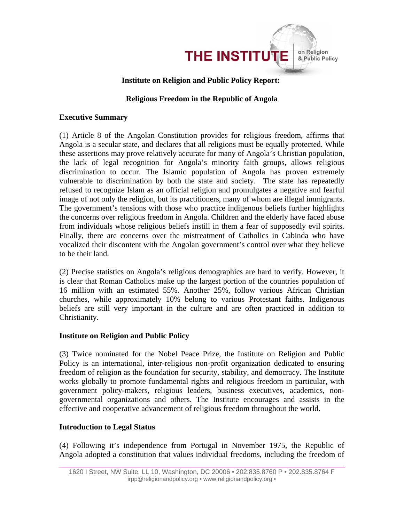

### **Institute on Religion and Public Policy Report:**

#### **Religious Freedom in the Republic of Angola**

#### **Executive Summary**

(1) Article 8 of the Angolan Constitution provides for religious freedom, affirms that Angola is a secular state, and declares that all religions must be equally protected. While these assertions may prove relatively accurate for many of Angola's Christian population, the lack of legal recognition for Angola's minority faith groups, allows religious discrimination to occur. The Islamic population of Angola has proven extremely vulnerable to discrimination by both the state and society. The state has repeatedly refused to recognize Islam as an official religion and promulgates a negative and fearful image of not only the religion, but its practitioners, many of whom are illegal immigrants. The government's tensions with those who practice indigenous beliefs further highlights the concerns over religious freedom in Angola. Children and the elderly have faced abuse from individuals whose religious beliefs instill in them a fear of supposedly evil spirits. Finally, there are concerns over the mistreatment of Catholics in Cabinda who have vocalized their discontent with the Angolan government's control over what they believe to be their land.

(2) Precise statistics on Angola's religious demographics are hard to verify. However, it is clear that Roman Catholics make up the largest portion of the countries population of 16 million with an estimated 55%. Another 25%, follow various African Christian churches, while approximately 10% belong to various Protestant faiths. Indigenous beliefs are still very important in the culture and are often practiced in addition to Christianity.

### **Institute on Religion and Public Policy**

(3) Twice nominated for the Nobel Peace Prize, the Institute on Religion and Public Policy is an international, inter-religious non-profit organization dedicated to ensuring freedom of religion as the foundation for security, stability, and democracy. The Institute works globally to promote fundamental rights and religious freedom in particular, with government policy-makers, religious leaders, business executives, academics, nongovernmental organizations and others. The Institute encourages and assists in the effective and cooperative advancement of religious freedom throughout the world.

### **Introduction to Legal Status**

(4) Following it's independence from Portugal in November 1975, the Republic of Angola adopted a constitution that values individual freedoms, including the freedom of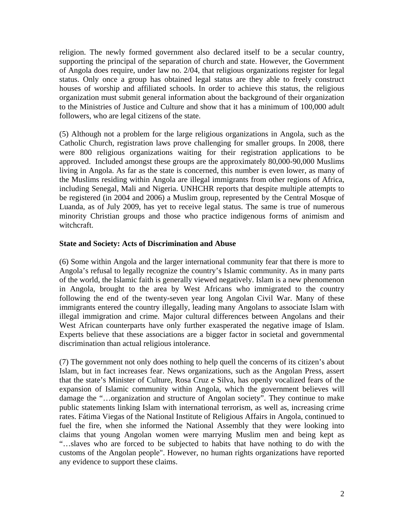religion. The newly formed government also declared itself to be a secular country, supporting the principal of the separation of church and state. However, the Government of Angola does require, under law no. 2/04, that religious organizations register for legal status. Only once a group has obtained legal status are they able to freely construct houses of worship and affiliated schools. In order to achieve this status, the religious organization must submit general information about the background of their organization to the Ministries of Justice and Culture and show that it has a minimum of 100,000 adult followers, who are legal citizens of the state.

(5) Although not a problem for the large religious organizations in Angola, such as the Catholic Church, registration laws prove challenging for smaller groups. In 2008, there were 800 religious organizations waiting for their registration applications to be approved. Included amongst these groups are the approximately 80,000-90,000 Muslims living in Angola. As far as the state is concerned, this number is even lower, as many of the Muslims residing within Angola are illegal immigrants from other regions of Africa, including Senegal, Mali and Nigeria. UNHCHR reports that despite multiple attempts to be registered (in 2004 and 2006) a Muslim group, represented by the Central Mosque of Luanda, as of July 2009, has yet to receive legal status. The same is true of numerous minority Christian groups and those who practice indigenous forms of animism and witchcraft.

### **State and Society: Acts of Discrimination and Abuse**

(6) Some within Angola and the larger international community fear that there is more to Angola's refusal to legally recognize the country's Islamic community. As in many parts of the world, the Islamic faith is generally viewed negatively. Islam is a new phenomenon in Angola, brought to the area by West Africans who immigrated to the country following the end of the twenty-seven year long Angolan Civil War. Many of these immigrants entered the country illegally, leading many Angolans to associate Islam with illegal immigration and crime. Major cultural differences between Angolans and their West African counterparts have only further exasperated the negative image of Islam. Experts believe that these associations are a bigger factor in societal and governmental discrimination than actual religious intolerance.

(7) The government not only does nothing to help quell the concerns of its citizen's about Islam, but in fact increases fear. News organizations, such as the Angolan Press, assert that the state's Minister of Culture, Rosa Cruz e Silva, has openly vocalized fears of the expansion of Islamic community within Angola, which the government believes will damage the "…organization and structure of Angolan society". They continue to make public statements linking Islam with international terrorism, as well as, increasing crime rates. Fátima Viegas of the National Institute of Religious Affairs in Angola, continued to fuel the fire, when she informed the National Assembly that they were looking into claims that young Angolan women were marrying Muslim men and being kept as "…slaves who are forced to be subjected to habits that have nothing to do with the customs of the Angolan people". However, no human rights organizations have reported any evidence to support these claims.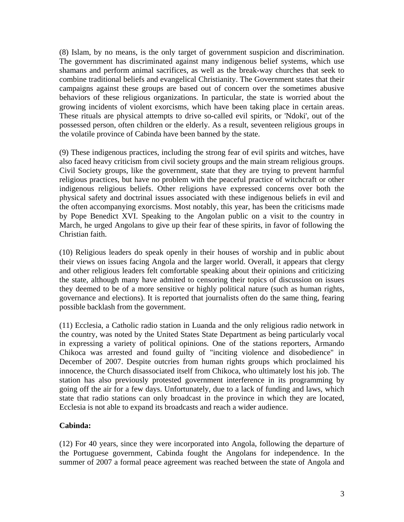(8) Islam, by no means, is the only target of government suspicion and discrimination. The government has discriminated against many indigenous belief systems, which use shamans and perform animal sacrifices, as well as the break-way churches that seek to combine traditional beliefs and evangelical Christianity. The Government states that their campaigns against these groups are based out of concern over the sometimes abusive behaviors of these religious organizations. In particular, the state is worried about the growing incidents of violent exorcisms, which have been taking place in certain areas. These rituals are physical attempts to drive so-called evil spirits, or 'Ndoki', out of the possessed person, often children or the elderly. As a result, seventeen religious groups in the volatile province of Cabinda have been banned by the state.

(9) These indigenous practices, including the strong fear of evil spirits and witches, have also faced heavy criticism from civil society groups and the main stream religious groups. Civil Society groups, like the government, state that they are trying to prevent harmful religious practices, but have no problem with the peaceful practice of witchcraft or other indigenous religious beliefs. Other religions have expressed concerns over both the physical safety and doctrinal issues associated with these indigenous beliefs in evil and the often accompanying exorcisms. Most notably, this year, has been the criticisms made by Pope Benedict XVI. Speaking to the Angolan public on a visit to the country in March, he urged Angolans to give up their fear of these spirits, in favor of following the Christian faith.

(10) Religious leaders do speak openly in their houses of worship and in public about their views on issues facing Angola and the larger world. Overall, it appears that clergy and other religious leaders felt comfortable speaking about their opinions and criticizing the state, although many have admited to censoring their topics of discussion on issues they deemed to be of a more sensitive or highly political nature (such as human rights, governance and elections). It is reported that journalists often do the same thing, fearing possible backlash from the government.

(11) Ecclesia, a Catholic radio station in Luanda and the only religious radio network in the country, was noted by the United States State Department as being particularly vocal in expressing a variety of political opinions. One of the stations reporters, Armando Chikoca was arrested and found guilty of "inciting violence and disobedience" in December of 2007. Despite outcries from human rights groups which proclaimed his innocence, the Church disassociated itself from Chikoca, who ultimately lost his job. The station has also previously protested government interference in its programming by going off the air for a few days. Unfortunately, due to a lack of funding and laws, which state that radio stations can only broadcast in the province in which they are located, Ecclesia is not able to expand its broadcasts and reach a wider audience.

# **Cabinda:**

(12) For 40 years, since they were incorporated into Angola, following the departure of the Portuguese government, Cabinda fought the Angolans for independence. In the summer of 2007 a formal peace agreement was reached between the state of Angola and